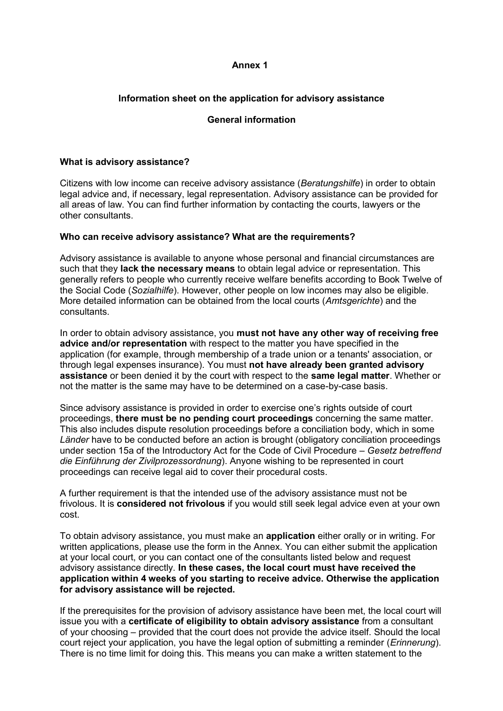## **Annex 1**

# **Information sheet on the application for advisory assistance**

## **General information**

## **What is advisory assistance?**

Citizens with low income can receive advisory assistance (*Beratungshilfe*) in order to obtain legal advice and, if necessary, legal representation. Advisory assistance can be provided for all areas of law. You can find further information by contacting the courts, lawyers or the other consultants.

### **Who can receive advisory assistance? What are the requirements?**

Advisory assistance is available to anyone whose personal and financial circumstances are such that they **lack the necessary means** to obtain legal advice or representation. This generally refers to people who currently receive welfare benefits according to Book Twelve of the Social Code (*Sozialhilfe*). However, other people on low incomes may also be eligible. More detailed information can be obtained from the local courts (*Amtsgerichte*) and the consultants.

In order to obtain advisory assistance, you **must not have any other way of receiving free advice and/or representation** with respect to the matter you have specified in the application (for example, through membership of a trade union or a tenants' association, or through legal expenses insurance). You must **not have already been granted advisory assistance** or been denied it by the court with respect to the **same legal matter**. Whether or not the matter is the same may have to be determined on a case-by-case basis.

Since advisory assistance is provided in order to exercise one's rights outside of court proceedings, **there must be no pending court proceedings** concerning the same matter. This also includes dispute resolution proceedings before a conciliation body, which in some *Länder* have to be conducted before an action is brought (obligatory conciliation proceedings under section 15a of the Introductory Act for the Code of Civil Procedure – *Gesetz betreffend die Einführung der Zivilprozessordnung*). Anyone wishing to be represented in court proceedings can receive legal aid to cover their procedural costs.

A further requirement is that the intended use of the advisory assistance must not be frivolous. It is **considered not frivolous** if you would still seek legal advice even at your own cost.

To obtain advisory assistance, you must make an **application** either orally or in writing. For written applications, please use the form in the Annex. You can either submit the application at your local court, or you can contact one of the consultants listed below and request advisory assistance directly. **In these cases, the local court must have received the application within 4 weeks of you starting to receive advice. Otherwise the application for advisory assistance will be rejected.**

If the prerequisites for the provision of advisory assistance have been met, the local court will issue you with a **certificate of eligibility to obtain advisory assistance** from a consultant of your choosing – provided that the court does not provide the advice itself. Should the local court reject your application, you have the legal option of submitting a reminder (*Erinnerung*). There is no time limit for doing this. This means you can make a written statement to the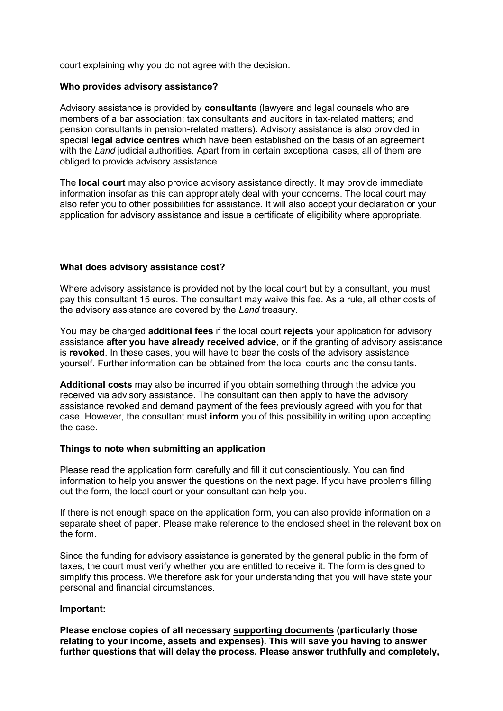court explaining why you do not agree with the decision.

### **Who provides advisory assistance?**

Advisory assistance is provided by **consultants** (lawyers and legal counsels who are members of a bar association; tax consultants and auditors in tax-related matters; and pension consultants in pension-related matters). Advisory assistance is also provided in special **legal advice centres** which have been established on the basis of an agreement with the *Land* judicial authorities. Apart from in certain exceptional cases, all of them are obliged to provide advisory assistance.

The **local court** may also provide advisory assistance directly. It may provide immediate information insofar as this can appropriately deal with your concerns. The local court may also refer you to other possibilities for assistance. It will also accept your declaration or your application for advisory assistance and issue a certificate of eligibility where appropriate.

### **What does advisory assistance cost?**

Where advisory assistance is provided not by the local court but by a consultant, you must pay this consultant 15 euros. The consultant may waive this fee. As a rule, all other costs of the advisory assistance are covered by the *Land* treasury.

You may be charged **additional fees** if the local court **rejects** your application for advisory assistance **after you have already received advice**, or if the granting of advisory assistance is **revoked**. In these cases, you will have to bear the costs of the advisory assistance yourself. Further information can be obtained from the local courts and the consultants.

**Additional costs** may also be incurred if you obtain something through the advice you received via advisory assistance. The consultant can then apply to have the advisory assistance revoked and demand payment of the fees previously agreed with you for that case. However, the consultant must **inform** you of this possibility in writing upon accepting the case.

### **Things to note when submitting an application**

Please read the application form carefully and fill it out conscientiously. You can find information to help you answer the questions on the next page. If you have problems filling out the form, the local court or your consultant can help you.

If there is not enough space on the application form, you can also provide information on a separate sheet of paper. Please make reference to the enclosed sheet in the relevant box on the form.

Since the funding for advisory assistance is generated by the general public in the form of taxes, the court must verify whether you are entitled to receive it. The form is designed to simplify this process. We therefore ask for your understanding that you will have state your personal and financial circumstances.

#### **Important:**

**Please enclose copies of all necessary supporting documents (particularly those relating to your income, assets and expenses). This will save you having to answer further questions that will delay the process. Please answer truthfully and completely,**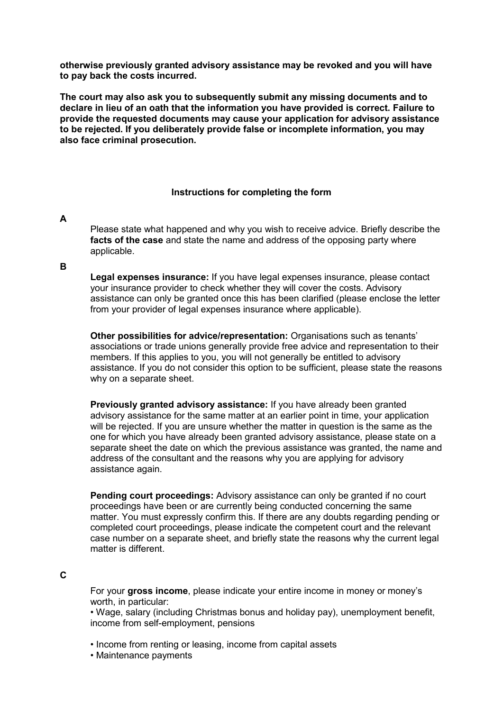**otherwise previously granted advisory assistance may be revoked and you will have to pay back the costs incurred.**

**The court may also ask you to subsequently submit any missing documents and to declare in lieu of an oath that the information you have provided is correct. Failure to provide the requested documents may cause your application for advisory assistance to be rejected. If you deliberately provide false or incomplete information, you may also face criminal prosecution.**

#### **Instructions for completing the form**

#### **A**

Please state what happened and why you wish to receive advice. Briefly describe the **facts of the case** and state the name and address of the opposing party where applicable.

#### **B**

**Legal expenses insurance:** If you have legal expenses insurance, please contact your insurance provider to check whether they will cover the costs. Advisory assistance can only be granted once this has been clarified (please enclose the letter from your provider of legal expenses insurance where applicable).

**Other possibilities for advice/representation:** Organisations such as tenants' associations or trade unions generally provide free advice and representation to their members. If this applies to you, you will not generally be entitled to advisory assistance. If you do not consider this option to be sufficient, please state the reasons why on a separate sheet.

**Previously granted advisory assistance:** If you have already been granted advisory assistance for the same matter at an earlier point in time, your application will be rejected. If you are unsure whether the matter in question is the same as the one for which you have already been granted advisory assistance, please state on a separate sheet the date on which the previous assistance was granted, the name and address of the consultant and the reasons why you are applying for advisory assistance again.

**Pending court proceedings:** Advisory assistance can only be granted if no court proceedings have been or are currently being conducted concerning the same matter. You must expressly confirm this. If there are any doubts regarding pending or completed court proceedings, please indicate the competent court and the relevant case number on a separate sheet, and briefly state the reasons why the current legal matter is different.

## **C**

For your **gross income**, please indicate your entire income in money or money's worth, in particular:

• Wage, salary (including Christmas bonus and holiday pay), unemployment benefit, income from self-employment, pensions

- Income from renting or leasing, income from capital assets
- Maintenance payments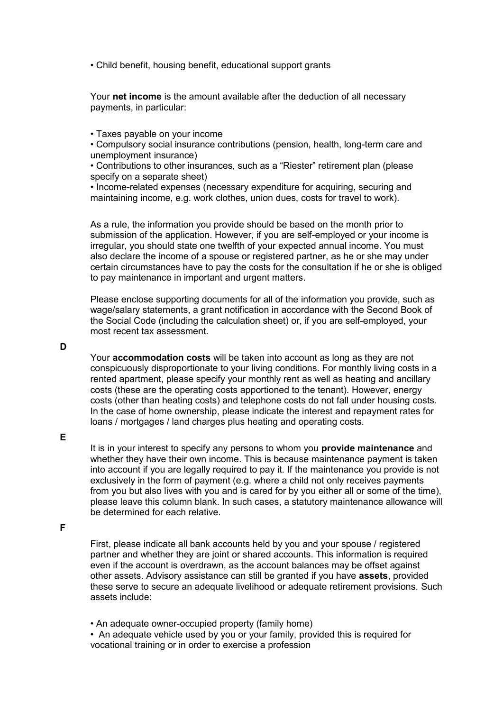• Child benefit, housing benefit, educational support grants

Your **net income** is the amount available after the deduction of all necessary payments, in particular:

• Taxes payable on your income

• Compulsory social insurance contributions (pension, health, long-term care and unemployment insurance)

• Contributions to other insurances, such as a "Riester" retirement plan (please specify on a separate sheet)

• Income-related expenses (necessary expenditure for acquiring, securing and maintaining income, e.g. work clothes, union dues, costs for travel to work).

As a rule, the information you provide should be based on the month prior to submission of the application. However, if you are self-employed or your income is irregular, you should state one twelfth of your expected annual income. You must also declare the income of a spouse or registered partner, as he or she may under certain circumstances have to pay the costs for the consultation if he or she is obliged to pay maintenance in important and urgent matters.

Please enclose supporting documents for all of the information you provide, such as wage/salary statements, a grant notification in accordance with the Second Book of the Social Code (including the calculation sheet) or, if you are self-employed, your most recent tax assessment.

**D**

Your **accommodation costs** will be taken into account as long as they are not conspicuously disproportionate to your living conditions. For monthly living costs in a rented apartment, please specify your monthly rent as well as heating and ancillary costs (these are the operating costs apportioned to the tenant). However, energy costs (other than heating costs) and telephone costs do not fall under housing costs. In the case of home ownership, please indicate the interest and repayment rates for loans / mortgages / land charges plus heating and operating costs.

**E**

It is in your interest to specify any persons to whom you **provide maintenance** and whether they have their own income. This is because maintenance payment is taken into account if you are legally required to pay it. If the maintenance you provide is not exclusively in the form of payment (e.g. where a child not only receives payments from you but also lives with you and is cared for by you either all or some of the time), please leave this column blank. In such cases, a statutory maintenance allowance will be determined for each relative.

**F**

First, please indicate all bank accounts held by you and your spouse / registered partner and whether they are joint or shared accounts. This information is required even if the account is overdrawn, as the account balances may be offset against other assets. Advisory assistance can still be granted if you have **assets**, provided these serve to secure an adequate livelihood or adequate retirement provisions. Such assets include:

• An adequate owner-occupied property (family home)

• An adequate vehicle used by you or your family, provided this is required for vocational training or in order to exercise a profession